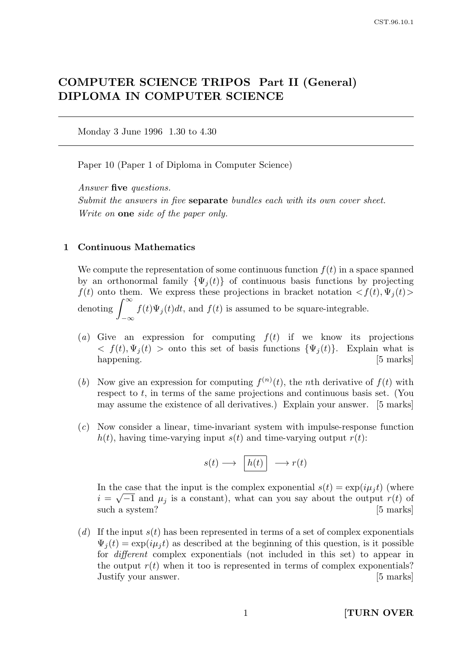# COMPUTER SCIENCE TRIPOS Part II (General) DIPLOMA IN COMPUTER SCIENCE

Monday 3 June 1996 1.30 to 4.30

Paper 10 (Paper 1 of Diploma in Computer Science)

Answer five questions.

Submit the answers in five **separate** bundles each with its own cover sheet. Write on **one** side of the paper only.

#### 1 Continuous Mathematics

We compute the representation of some continuous function  $f(t)$  in a space spanned by an orthonormal family  $\{\Psi_i(t)\}\$  of continuous basis functions by projecting  $f(t)$  onto them. We express these projections in bracket notation  $\langle f(t), \Psi_j(t) \rangle$ denoting  $\int_{-\infty}^{\infty}$  $-\infty$  $f(t)\Psi_j(t)dt$ , and  $f(t)$  is assumed to be square-integrable.

- (a) Give an expression for computing  $f(t)$  if we know its projections  $\langle f(t), \Psi_i(t) \rangle$  onto this set of basis functions  $\{\Psi_i(t)\}\$ . Explain what is happening. [5 marks]
- (b) Now give an expression for computing  $f^{(n)}(t)$ , the nth derivative of  $f(t)$  with respect to t, in terms of the same projections and continuous basis set. (You may assume the existence of all derivatives.) Explain your answer. [5 marks]
- (c) Now consider a linear, time-invariant system with impulse-response function  $h(t)$ , having time-varying input  $s(t)$  and time-varying output  $r(t)$ :

$$
s(t) \longrightarrow \boxed{h(t)} \longrightarrow r(t)
$$

In the case that the input is the complex exponential  $s(t) = \exp(i\mu_j t)$  (where  $i = \sqrt{-1}$  and  $\mu_j$  is a constant), what can you say about the output  $r(t)$  of such a system? [5 marks]

(d) If the input  $s(t)$  has been represented in terms of a set of complex exponentials  $\Psi_i(t) = \exp(i\mu_i t)$  as described at the beginning of this question, is it possible for different complex exponentials (not included in this set) to appear in the output  $r(t)$  when it too is represented in terms of complex exponentials? Justify your answer. [5 marks]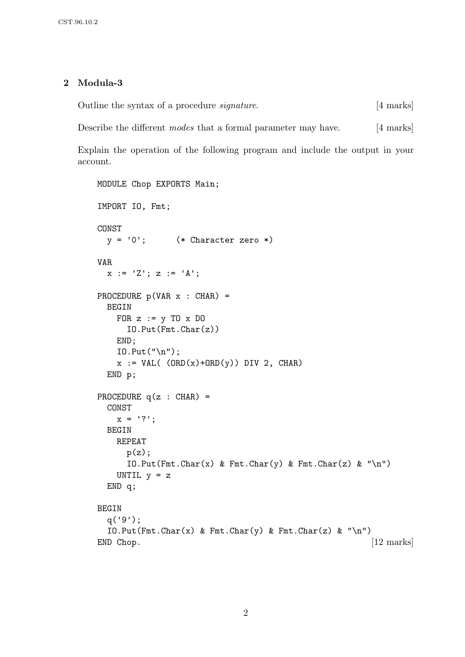# 2 Modula-3

Outline the syntax of a procedure *signature*. [4 marks]

Describe the different *modes* that a formal parameter may have. [4 marks]

Explain the operation of the following program and include the output in your account.

```
MODULE Chop EXPORTS Main;
IMPORT IO, Fmt;
CONST
 y = '0'; (* Character zero *)
VAR
 x := 'Z'; z := 'A';PROCEDURE p(VAR x : CHAR) =BEGIN
   FOR z := y TO x DO
     IO.Put(Fmt.Char(z))
   END;
   IO.Put("n");
   x := VAL( (ORD(x)+ORD(y)) DIV 2, CHAR)END p;
PROCEDURE q(z : CHAR) =CONST
   x = '?';BEGIN
   REPEAT
     p(z);
     IO.Put(Fmt.Char(x) & Fmt.Char(y) & Fmt.Char(z) & \n' \n')UNTIL y = zEND q;
BEGIN
 q('9');
 IO.Put(Fmt.Char(x) & Fmt.Char(y) & Fmt.Char(z) & \n' \n')END Chop. [12 marks]
```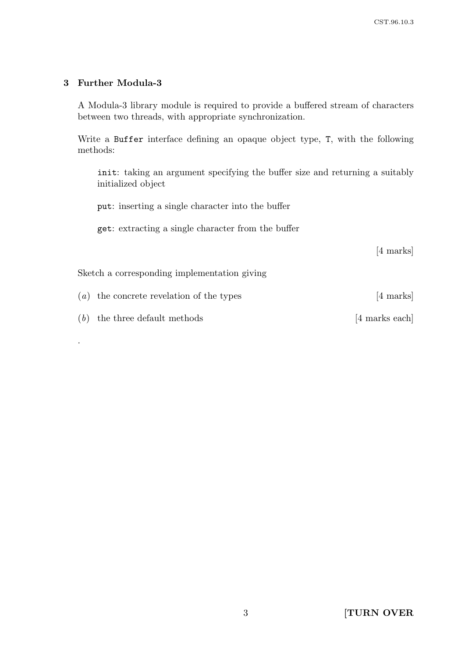# 3 Further Modula-3

A Modula-3 library module is required to provide a buffered stream of characters between two threads, with appropriate synchronization.

Write a Buffer interface defining an opaque object type, T, with the following methods:

init: taking an argument specifying the buffer size and returning a suitably initialized object

put: inserting a single character into the buffer

get: extracting a single character from the buffer

[4 marks]

Sketch a corresponding implementation giving

 $(a)$  the concrete revelation of the types [4 marks]

 $(b)$  the three default methods [4 marks each]

.

3 [TURN OVER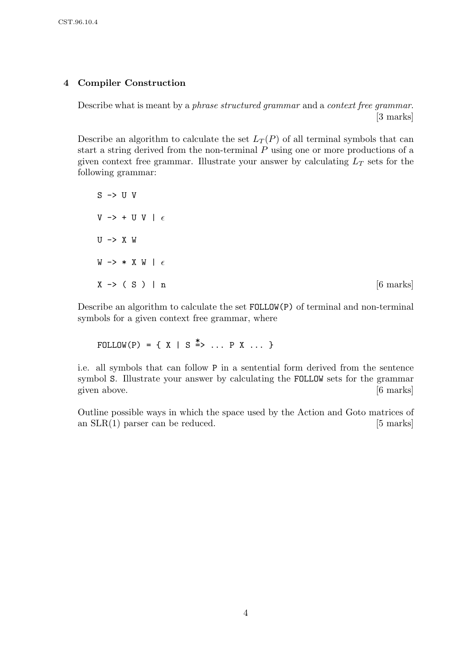# 4 Compiler Construction

Describe what is meant by a *phrase structured grammar* and a *context free grammar*. [3 marks]

Describe an algorithm to calculate the set  $L_T(P)$  of all terminal symbols that can start a string derived from the non-terminal P using one or more productions of a given context free grammar. Illustrate your answer by calculating  $L_T$  sets for the following grammar:

 $S \rightarrow U V$ V -> + U V |  $\epsilon$  $U \rightarrow X W$ W  $\rightarrow$  \* X W |  $\epsilon$  $X \rightarrow (S) \mid n$  [6 marks]

Describe an algorithm to calculate the set FOLLOW(P) of terminal and non-terminal symbols for a given context free grammar, where

FOLLOW(P) = {  $X$  | S  $\stackrel{*}{\Rightarrow}$  ... P X ... }

i.e. all symbols that can follow P in a sentential form derived from the sentence symbol S. Illustrate your answer by calculating the FOLLOW sets for the grammar given above. [6 marks]

Outline possible ways in which the space used by the Action and Goto matrices of an  $SLR(1)$  parser can be reduced. [5 marks]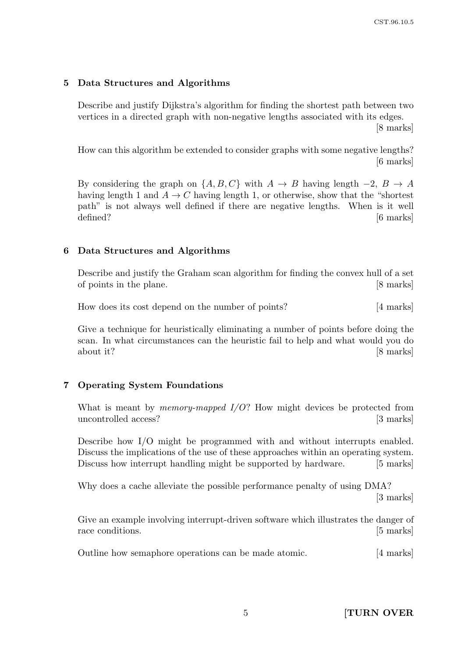#### 5 Data Structures and Algorithms

Describe and justify Dijkstra's algorithm for finding the shortest path between two vertices in a directed graph with non-negative lengths associated with its edges.

[8 marks]

How can this algorithm be extended to consider graphs with some negative lengths? [6 marks]

By considering the graph on  $\{A, B, C\}$  with  $A \rightarrow B$  having length  $-2$ ,  $B \rightarrow A$ having length 1 and  $A \rightarrow C$  having length 1, or otherwise, show that the "shortest" path" is not always well defined if there are negative lengths. When is it well defined? [6 marks]

#### 6 Data Structures and Algorithms

Describe and justify the Graham scan algorithm for finding the convex hull of a set of points in the plane. [8 marks]

How does its cost depend on the number of points? [4 marks]

Give a technique for heuristically eliminating a number of points before doing the scan. In what circumstances can the heuristic fail to help and what would you do about it? [8 marks]

#### 7 Operating System Foundations

What is meant by *memory-mapped*  $I/O$ *?* How might devices be protected from uncontrolled access? [3 marks]

Describe how I/O might be programmed with and without interrupts enabled. Discuss the implications of the use of these approaches within an operating system. Discuss how interrupt handling might be supported by hardware. [5 marks]

Why does a cache alleviate the possible performance penalty of using DMA? [3 marks]

Give an example involving interrupt-driven software which illustrates the danger of race conditions. [5 marks]

Outline how semaphore operations can be made atomic. [4 marks]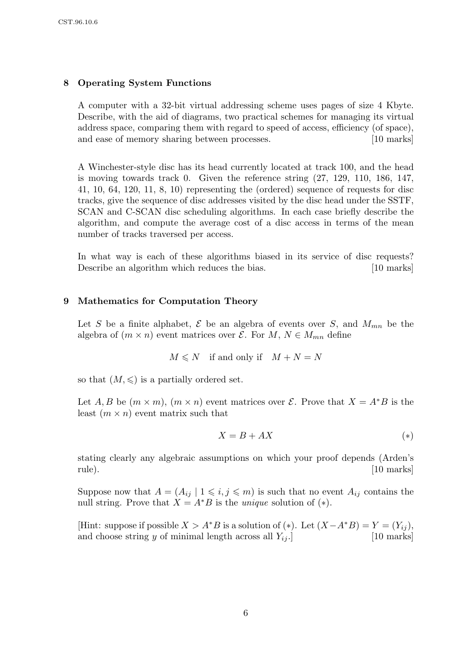# 8 Operating System Functions

A computer with a 32-bit virtual addressing scheme uses pages of size 4 Kbyte. Describe, with the aid of diagrams, two practical schemes for managing its virtual address space, comparing them with regard to speed of access, efficiency (of space), and ease of memory sharing between processes. [10 marks]

A Winchester-style disc has its head currently located at track 100, and the head is moving towards track 0. Given the reference string (27, 129, 110, 186, 147, 41, 10, 64, 120, 11, 8, 10) representing the (ordered) sequence of requests for disc tracks, give the sequence of disc addresses visited by the disc head under the SSTF, SCAN and C-SCAN disc scheduling algorithms. In each case briefly describe the algorithm, and compute the average cost of a disc access in terms of the mean number of tracks traversed per access.

In what way is each of these algorithms biased in its service of disc requests? Describe an algorithm which reduces the bias. [10 marks]

# 9 Mathematics for Computation Theory

Let S be a finite alphabet,  $\mathcal E$  be an algebra of events over S, and  $M_{mn}$  be the algebra of  $(m \times n)$  event matrices over  $\mathcal{E}$ . For  $M, N \in M_{mn}$  define

$$
M \le N
$$
 if and only if  $M + N = N$ 

so that  $(M, \leqslant)$  is a partially ordered set.

Let A, B be  $(m \times m)$ ,  $(m \times n)$  event matrices over E. Prove that  $X = A^*B$  is the least  $(m \times n)$  event matrix such that

$$
X = B + AX \tag{*}
$$

stating clearly any algebraic assumptions on which your proof depends (Arden's rule). [10 marks]

Suppose now that  $A = (A_{ij} | 1 \leq i, j \leq m)$  is such that no event  $A_{ij}$  contains the null string. Prove that  $X = A^*B$  is the *unique* solution of  $(*).$ 

[Hint: suppose if possible  $X > A^*B$  is a solution of (\*). Let  $(X-A^*B) = Y = (Y_{ij}),$ and choose string y of minimal length across all  $Y_{ij}$ . [10 marks]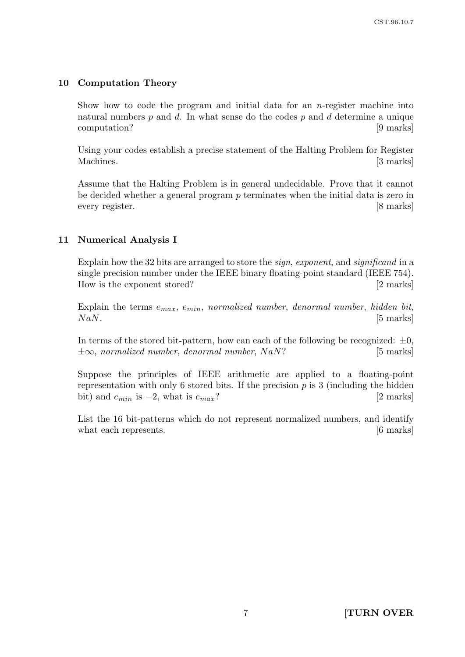## 10 Computation Theory

Show how to code the program and initial data for an  $n$ -register machine into natural numbers  $p$  and  $d$ . In what sense do the codes  $p$  and  $d$  determine a unique computation? [9 marks]

Using your codes establish a precise statement of the Halting Problem for Register Machines. [3 marks]

Assume that the Halting Problem is in general undecidable. Prove that it cannot be decided whether a general program  $p$  terminates when the initial data is zero in every register. [8 marks]

### 11 Numerical Analysis I

Explain how the 32 bits are arranged to store the sign, exponent, and significand in a single precision number under the IEEE binary floating-point standard (IEEE 754). How is the exponent stored? [2 marks]

Explain the terms  $e_{max}$ ,  $e_{min}$ , normalized number, denormal number, hidden bit,  $NaN.$  [5 marks]

In terms of the stored bit-pattern, how can each of the following be recognized:  $\pm 0$ ,  $\pm \infty$ , normalized number, denormal number, NaN? [5 marks]

Suppose the principles of IEEE arithmetic are applied to a floating-point representation with only 6 stored bits. If the precision  $p$  is 3 (including the hidden bit) and  $e_{min}$  is  $-2$ , what is  $e_{max}$ ? [2 marks]

List the 16 bit-patterns which do not represent normalized numbers, and identify what each represents. [6 marks]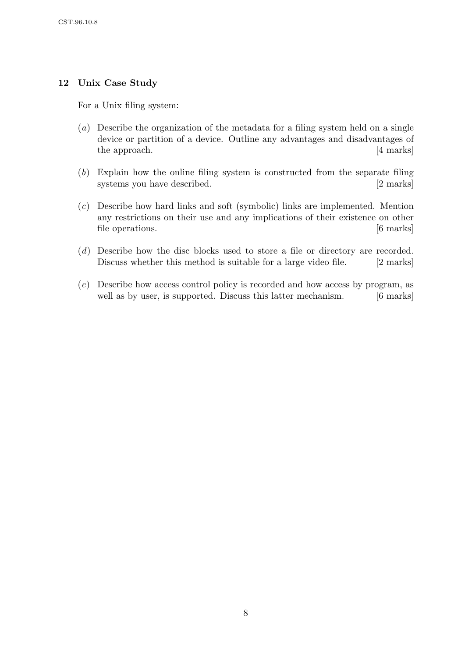# 12 Unix Case Study

For a Unix filing system:

- (a) Describe the organization of the metadata for a filing system held on a single device or partition of a device. Outline any advantages and disadvantages of the approach. [4 marks]
- (b) Explain how the online filing system is constructed from the separate filing systems you have described. [2 marks]
- (c) Describe how hard links and soft (symbolic) links are implemented. Mention any restrictions on their use and any implications of their existence on other file operations. [6 marks]
- (d) Describe how the disc blocks used to store a file or directory are recorded. Discuss whether this method is suitable for a large video file. [2 marks]
- (e) Describe how access control policy is recorded and how access by program, as well as by user, is supported. Discuss this latter mechanism. [6 marks]